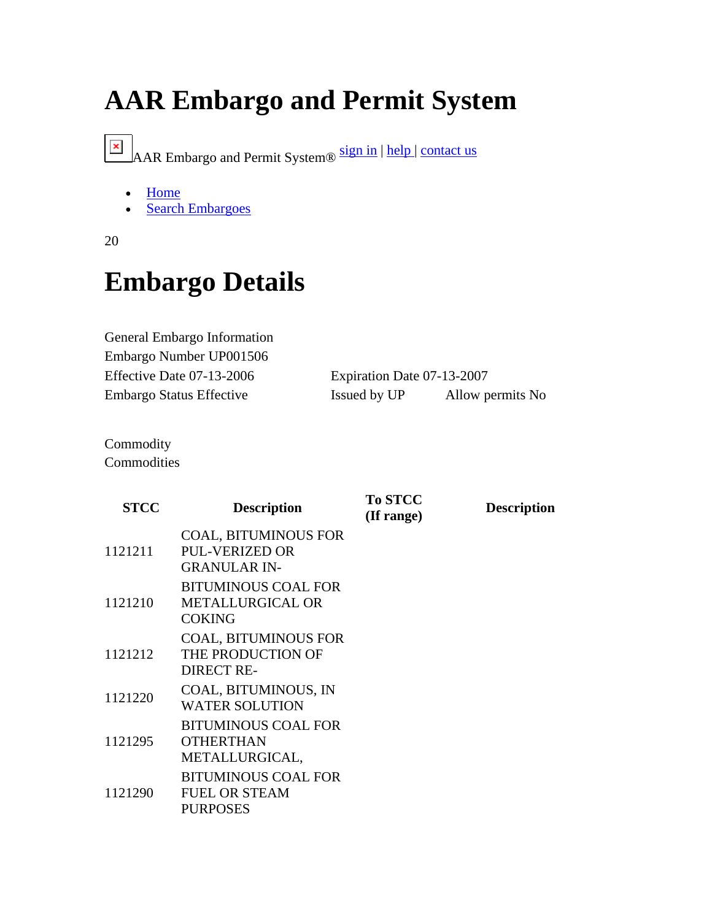## **AAR Embargo and Permit System**

AAR Embargo and Permit System® sign in | help | contact us

- Home
- Search Embargoes
- 20

## **Embargo Details**

| General Embargo Information |                            |                   |
|-----------------------------|----------------------------|-------------------|
| Embargo Number UP001506     |                            |                   |
| Effective Date 07-13-2006   | Expiration Date 07-13-2007 |                   |
| Embargo Status Effective    | Issued by UP               | Allow permits No. |

Commodity **Commodities** 

| <b>STCC</b> | <b>Description</b>                                                          | <b>To STCC</b><br>(If range) | <b>Description</b> |
|-------------|-----------------------------------------------------------------------------|------------------------------|--------------------|
| 1121211     | <b>COAL, BITUMINOUS FOR</b><br><b>PUL-VERIZED OR</b><br><b>GRANULAR IN-</b> |                              |                    |
| 1121210     | <b>BITUMINOUS COAL FOR</b><br><b>METALLURGICAL OR</b><br><b>COKING</b>      |                              |                    |
| 1121212     | <b>COAL, BITUMINOUS FOR</b><br>THE PRODUCTION OF<br><b>DIRECT RE-</b>       |                              |                    |
| 1121220     | COAL, BITUMINOUS, IN<br><b>WATER SOLUTION</b>                               |                              |                    |
| 1121295     | <b>BITUMINOUS COAL FOR</b><br><b>OTHERTHAN</b><br>METALLURGICAL,            |                              |                    |
| 1121290     | <b>BITUMINOUS COAL FOR</b><br><b>FUEL OR STEAM</b><br><b>PURPOSES</b>       |                              |                    |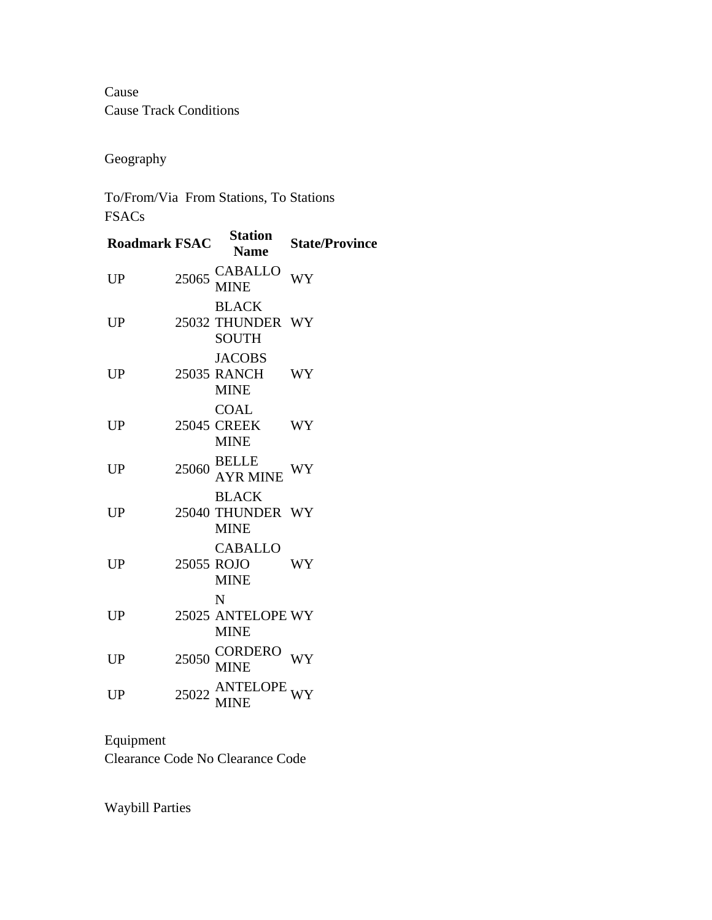Cause Cause Track Conditions

Geography

To/From/Via From Stations, To Stations FSACs

| <b>Roadmark FSAC</b> | <b>Station</b><br><b>Name</b>                         | <b>State/Province</b> |
|----------------------|-------------------------------------------------------|-----------------------|
| UP                   | $25065 \, \frac{\text{CABALLO}}{\text{MINE}}$         | <b>WY</b>             |
| <b>UP</b>            | <b>BLACK</b><br>25032 THUNDER WY<br><b>SOUTH</b>      |                       |
| UP                   | <b>JACOBS</b><br>25035 RANCH WY<br><b>MINE</b>        |                       |
| <b>UP</b>            | <b>COAL</b><br>25045 CREEK<br><b>MINE</b>             | WY                    |
| UP                   | $\frac{\text{BELLE}}{\text{AYR} \text{ MINE}}$        | WY                    |
| UP                   | <b>BLACK</b><br>25040 THUNDER WY<br><b>MINE</b>       |                       |
| UP                   | <b>CABALLO</b><br>25055 ROJO<br><b>MINE</b>           | WY                    |
| <b>UP</b>            | N<br>25025 ANTELOPE WY<br><b>MINE</b>                 |                       |
| <b>UP</b>            | 25050 CORDERO<br>MINE                                 | <b>WY</b>             |
| UP                   | $25022 \frac{\text{ANTELOPE}}{\text{MINE}} \text{WY}$ |                       |
|                      |                                                       |                       |

Equipment Clearance Code No Clearance Code

Waybill Parties